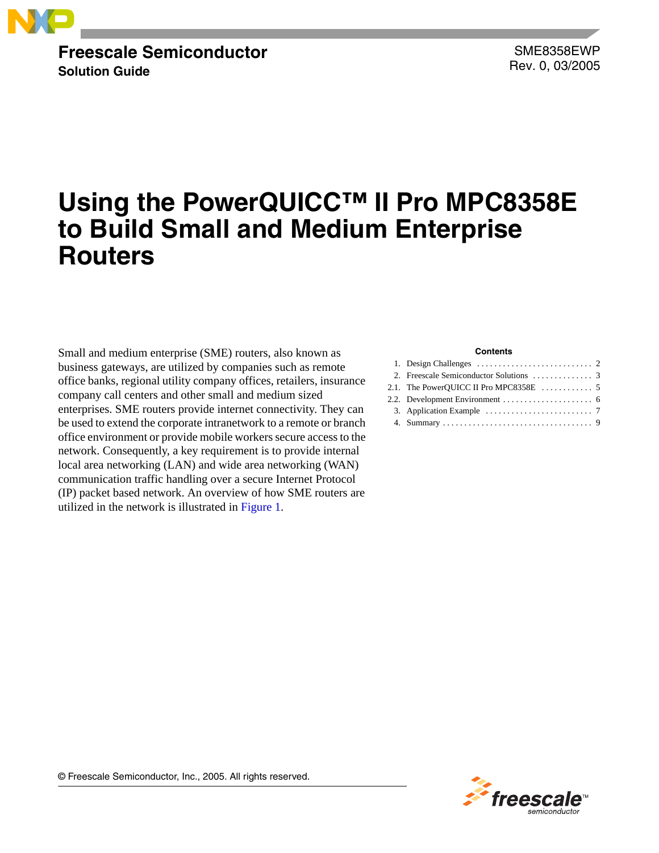

## **Freescale Semiconductor Solution Guide**

SME8358EWP Rev. 0, 03/2005

# **Using the PowerQUICC™ II Pro MPC8358E to Build Small and Medium Enterprise Routers**

Small and medium enterprise (SME) routers, also known as business gateways, are utilized by companies such as remote office banks, regional utility company offices, retailers, insurance company call centers and other small and medium sized enterprises. SME routers provide internet connectivity. They can be used to extend the corporate intranetwork to a remote or branch office environment or provide mobile workers secure access to the network. Consequently, a key requirement is to provide internal local area networking (LAN) and wide area networking (WAN) communication traffic handling over a secure Internet Protocol (IP) packet based network. An overview of how SME routers are utilized in the network is illustrated in [Figure 1.](#page-1-1)

#### **Contents**

| 2.2. Development Environment $\dots\dots\dots\dots\dots\dots\dots$ 6 |  |
|----------------------------------------------------------------------|--|
|                                                                      |  |
|                                                                      |  |



© Freescale Semiconductor, Inc., 2005. All rights reserved.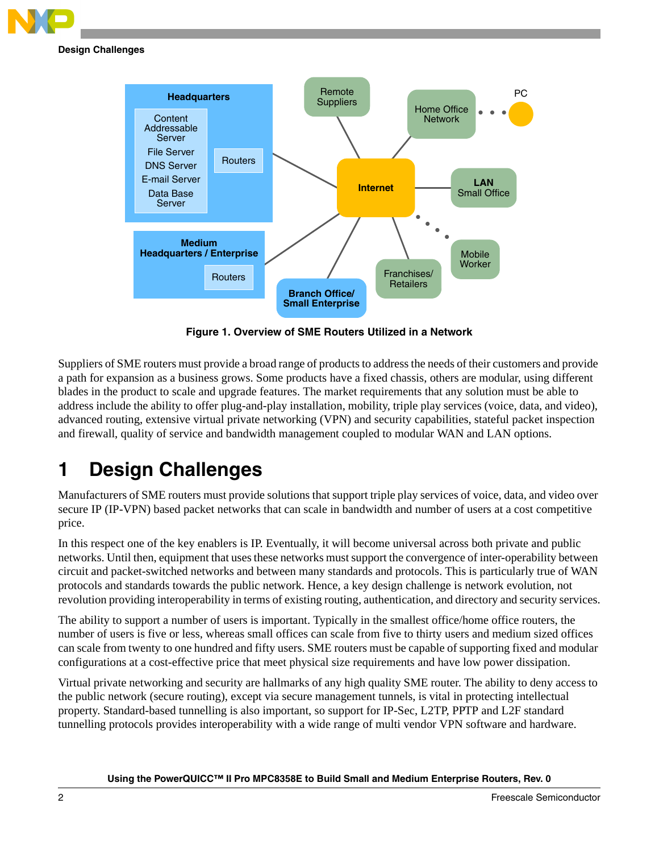

**Design Challenges**



**Figure 1. Overview of SME Routers Utilized in a Network**

<span id="page-1-1"></span>Suppliers of SME routers must provide a broad range of products to address the needs of their customers and provide a path for expansion as a business grows. Some products have a fixed chassis, others are modular, using different blades in the product to scale and upgrade features. The market requirements that any solution must be able to address include the ability to offer plug-and-play installation, mobility, triple play services (voice, data, and video), advanced routing, extensive virtual private networking (VPN) and security capabilities, stateful packet inspection and firewall, quality of service and bandwidth management coupled to modular WAN and LAN options.

# <span id="page-1-0"></span>**1 Design Challenges**

Manufacturers of SME routers must provide solutions that support triple play services of voice, data, and video over secure IP (IP-VPN) based packet networks that can scale in bandwidth and number of users at a cost competitive price.

In this respect one of the key enablers is IP. Eventually, it will become universal across both private and public networks. Until then, equipment that uses these networks must support the convergence of inter-operability between circuit and packet-switched networks and between many standards and protocols. This is particularly true of WAN protocols and standards towards the public network. Hence, a key design challenge is network evolution, not revolution providing interoperability in terms of existing routing, authentication, and directory and security services.

The ability to support a number of users is important. Typically in the smallest office/home office routers, the number of users is five or less, whereas small offices can scale from five to thirty users and medium sized offices can scale from twenty to one hundred and fifty users. SME routers must be capable of supporting fixed and modular configurations at a cost-effective price that meet physical size requirements and have low power dissipation.

Virtual private networking and security are hallmarks of any high quality SME router. The ability to deny access to the public network (secure routing), except via secure management tunnels, is vital in protecting intellectual property. Standard-based tunnelling is also important, so support for IP-Sec, L2TP, PPTP and L2F standard tunnelling protocols provides interoperability with a wide range of multi vendor VPN software and hardware.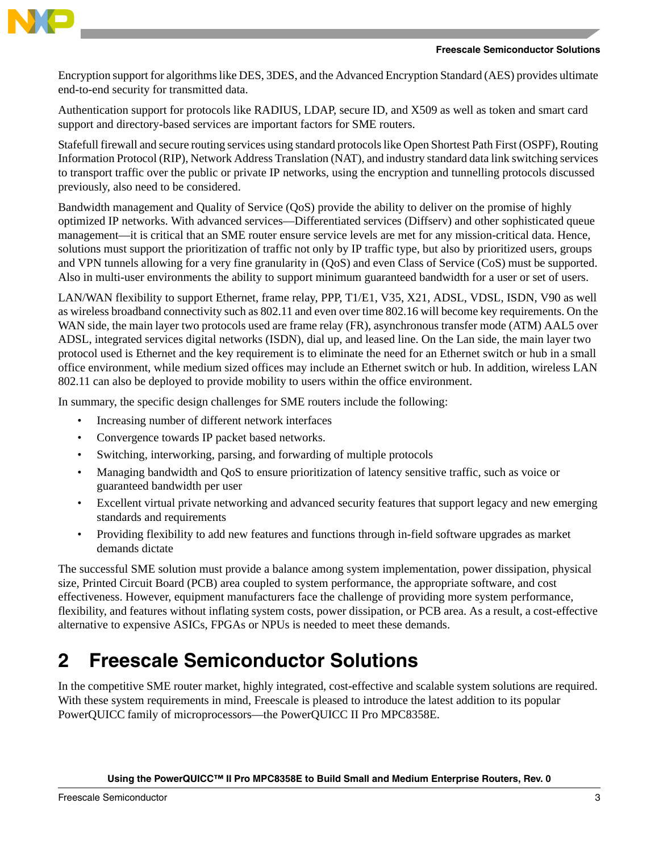

Encryption support for algorithms like DES, 3DES, and the Advanced Encryption Standard (AES) provides ultimate end-to-end security for transmitted data.

Authentication support for protocols like RADIUS, LDAP, secure ID, and X509 as well as token and smart card support and directory-based services are important factors for SME routers.

Stafefull firewall and secure routing services using standard protocols like Open Shortest Path First (OSPF), Routing Information Protocol (RIP), Network Address Translation (NAT), and industry standard data link switching services to transport traffic over the public or private IP networks, using the encryption and tunnelling protocols discussed previously, also need to be considered.

Bandwidth management and Quality of Service (QoS) provide the ability to deliver on the promise of highly optimized IP networks. With advanced services—Differentiated services (Diffserv) and other sophisticated queue management—it is critical that an SME router ensure service levels are met for any mission-critical data. Hence, solutions must support the prioritization of traffic not only by IP traffic type, but also by prioritized users, groups and VPN tunnels allowing for a very fine granularity in (QoS) and even Class of Service (CoS) must be supported. Also in multi-user environments the ability to support minimum guaranteed bandwidth for a user or set of users.

LAN/WAN flexibility to support Ethernet, frame relay, PPP, T1/E1, V35, X21, ADSL, VDSL, ISDN, V90 as well as wireless broadband connectivity such as 802.11 and even over time 802.16 will become key requirements. On the WAN side, the main layer two protocols used are frame relay (FR), asynchronous transfer mode (ATM) AAL5 over ADSL, integrated services digital networks (ISDN), dial up, and leased line. On the Lan side, the main layer two protocol used is Ethernet and the key requirement is to eliminate the need for an Ethernet switch or hub in a small office environment, while medium sized offices may include an Ethernet switch or hub. In addition, wireless LAN 802.11 can also be deployed to provide mobility to users within the office environment.

In summary, the specific design challenges for SME routers include the following:

- Increasing number of different network interfaces
- Convergence towards IP packet based networks.
- Switching, interworking, parsing, and forwarding of multiple protocols
- Managing bandwidth and QoS to ensure prioritization of latency sensitive traffic, such as voice or guaranteed bandwidth per user
- Excellent virtual private networking and advanced security features that support legacy and new emerging standards and requirements
- Providing flexibility to add new features and functions through in-field software upgrades as market demands dictate

The successful SME solution must provide a balance among system implementation, power dissipation, physical size, Printed Circuit Board (PCB) area coupled to system performance, the appropriate software, and cost effectiveness. However, equipment manufacturers face the challenge of providing more system performance, flexibility, and features without inflating system costs, power dissipation, or PCB area. As a result, a cost-effective alternative to expensive ASICs, FPGAs or NPUs is needed to meet these demands.

# <span id="page-2-0"></span>**2 Freescale Semiconductor Solutions**

In the competitive SME router market, highly integrated, cost-effective and scalable system solutions are required. With these system requirements in mind, Freescale is pleased to introduce the latest addition to its popular PowerQUICC family of microprocessors—the PowerQUICC II Pro MPC8358E.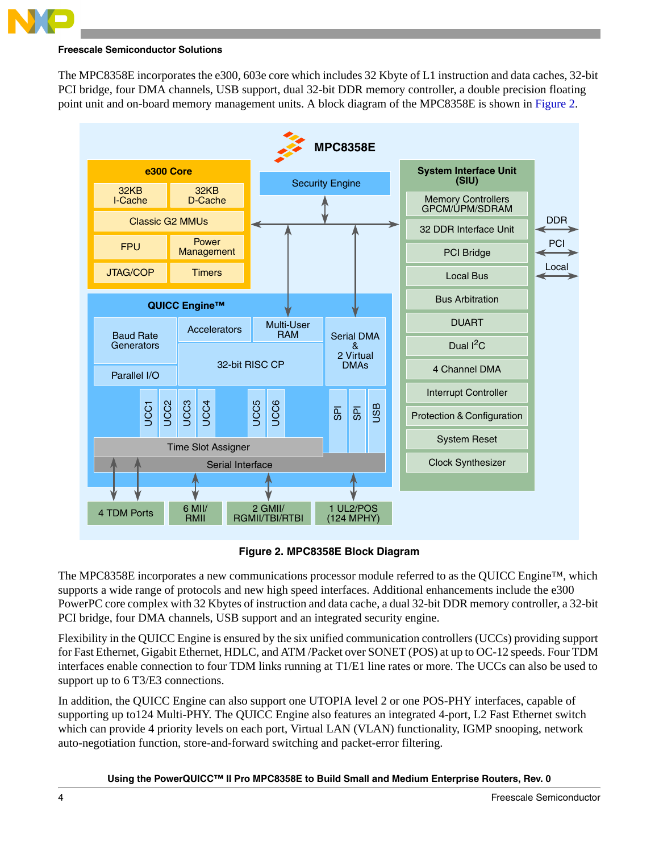

### **Freescale Semiconductor Solutions**

The MPC8358E incorporates the e300, 603e core which includes 32 Kbyte of L1 instruction and data caches, 32-bit PCI bridge, four DMA channels, USB support, dual 32-bit DDR memory controller, a double precision floating point unit and on-board memory management units. A block diagram of the MPC8358E is shown in [Figure 2](#page-3-0).



**Figure 2. MPC8358E Block Diagram**

<span id="page-3-0"></span>The MPC8358E incorporates a new communications processor module referred to as the QUICC Engine™, which supports a wide range of protocols and new high speed interfaces. Additional enhancements include the e300 PowerPC core complex with 32 Kbytes of instruction and data cache, a dual 32-bit DDR memory controller, a 32-bit PCI bridge, four DMA channels, USB support and an integrated security engine.

Flexibility in the QUICC Engine is ensured by the six unified communication controllers (UCCs) providing support for Fast Ethernet, Gigabit Ethernet, HDLC, and ATM /Packet over SONET (POS) at up to OC-12 speeds. Four TDM interfaces enable connection to four TDM links running at T1/E1 line rates or more. The UCCs can also be used to support up to 6 T3/E3 connections.

In addition, the QUICC Engine can also support one UTOPIA level 2 or one POS-PHY interfaces, capable of supporting up to124 Multi-PHY. The QUICC Engine also features an integrated 4-port, L2 Fast Ethernet switch which can provide 4 priority levels on each port, Virtual LAN (VLAN) functionality, IGMP snooping, network auto-negotiation function, store-and-forward switching and packet-error filtering.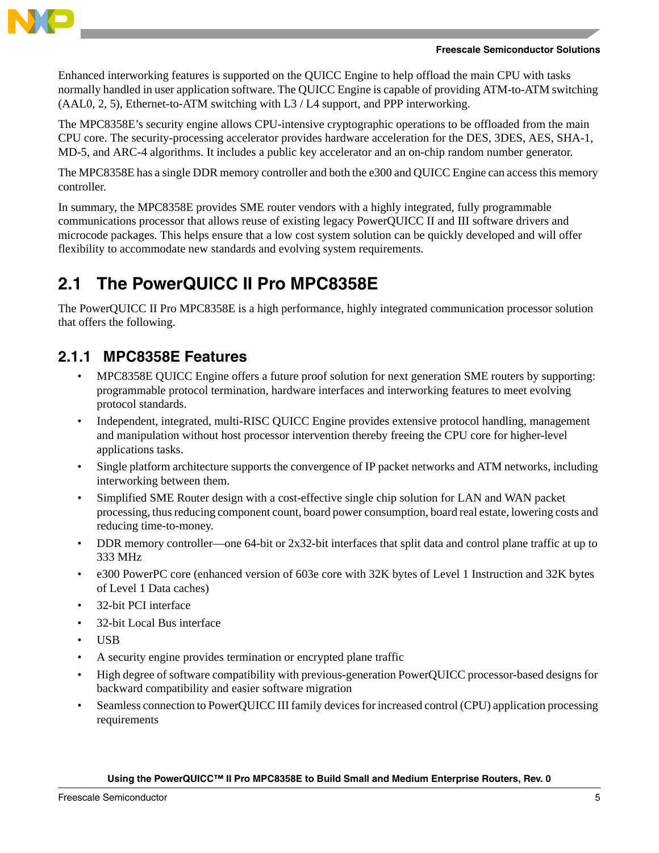

Enhanced interworking features is supported on the QUICC Engine to help offload the main CPU with tasks normally handled in user application software. The QUICC Engine is capable of providing ATM-to-ATM switching (AAL0, 2, 5), Ethernet-to-ATM switching with L3 / L4 support, and PPP interworking.

The MPC8358E's security engine allows CPU-intensive cryptographic operations to be offloaded from the main CPU core. The security-processing accelerator provides hardware acceleration for the DES, 3DES, AES, SHA-1, MD-5, and ARC-4 algorithms. It includes a public key accelerator and an on-chip random number generator.

The MPC8358E has a single DDR memory controller and both the e300 and QUICC Engine can access this memory controller.

In summary, the MPC8358E provides SME router vendors with a highly integrated, fully programmable communications processor that allows reuse of existing legacy PowerQUICC II and III software drivers and microcode packages. This helps ensure that a low cost system solution can be quickly developed and will offer flexibility to accommodate new standards and evolving system requirements.

# <span id="page-4-0"></span>**2.1 The PowerQUICC II Pro MPC8358E**

The PowerQUICC II Pro MPC8358E is a high performance, highly integrated communication processor solution that offers the following.

## **2.1.1 MPC8358E Features**

- MPC8358E QUICC Engine offers a future proof solution for next generation SME routers by supporting: programmable protocol termination, hardware interfaces and interworking features to meet evolving protocol standards.
- Independent, integrated, multi-RISC QUICC Engine provides extensive protocol handling, management and manipulation without host processor intervention thereby freeing the CPU core for higher-level applications tasks.
- Single platform architecture supports the convergence of IP packet networks and ATM networks, including interworking between them.
- Simplified SME Router design with a cost-effective single chip solution for LAN and WAN packet processing, thus reducing component count, board power consumption, board real estate, lowering costs and reducing time-to-money.
- DDR memory controller—one 64-bit or 2x32-bit interfaces that split data and control plane traffic at up to 333 MHz
- e300 PowerPC core (enhanced version of 603e core with 32K bytes of Level 1 Instruction and 32K bytes of Level 1 Data caches)
- 32-bit PCI interface
- 32-bit Local Bus interface
- USB
- A security engine provides termination or encrypted plane traffic
- High degree of software compatibility with previous-generation PowerQUICC processor-based designs for backward compatibility and easier software migration
- Seamless connection to PowerQUICC III family devices for increased control (CPU) application processing requirements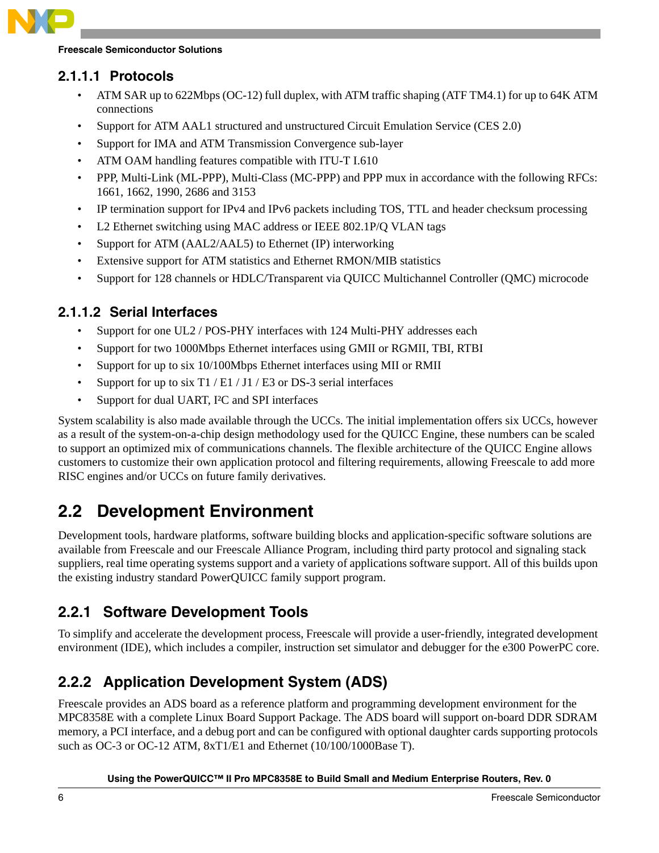

### **Freescale Semiconductor Solutions**

## **2.1.1.1 Protocols**

- ATM SAR up to 622Mbps (OC-12) full duplex, with ATM traffic shaping (ATF TM4.1) for up to 64K ATM connections
- Support for ATM AAL1 structured and unstructured Circuit Emulation Service (CES 2.0)
- Support for IMA and ATM Transmission Convergence sub-layer
- ATM OAM handling features compatible with ITU-T I.610
- PPP, Multi-Link (ML-PPP), Multi-Class (MC-PPP) and PPP mux in accordance with the following RFCs: 1661, 1662, 1990, 2686 and 3153
- IP termination support for IPv4 and IPv6 packets including TOS, TTL and header checksum processing
- L2 Ethernet switching using MAC address or IEEE 802.1P/Q VLAN tags
- Support for ATM (AAL2/AAL5) to Ethernet (IP) interworking
- Extensive support for ATM statistics and Ethernet RMON/MIB statistics
- Support for 128 channels or HDLC/Transparent via QUICC Multichannel Controller (QMC) microcode

### **2.1.1.2 Serial Interfaces**

- Support for one UL2 / POS-PHY interfaces with 124 Multi-PHY addresses each
- Support for two 1000Mbps Ethernet interfaces using GMII or RGMII, TBI, RTBI
- Support for up to six 10/100Mbps Ethernet interfaces using MII or RMII
- Support for up to six T1 / E1 / J1 / E3 or DS-3 serial interfaces
- Support for dual UART, I²C and SPI interfaces

System scalability is also made available through the UCCs. The initial implementation offers six UCCs, however as a result of the system-on-a-chip design methodology used for the QUICC Engine, these numbers can be scaled to support an optimized mix of communications channels. The flexible architecture of the QUICC Engine allows customers to customize their own application protocol and filtering requirements, allowing Freescale to add more RISC engines and/or UCCs on future family derivatives.

# <span id="page-5-0"></span>**2.2 Development Environment**

Development tools, hardware platforms, software building blocks and application-specific software solutions are available from Freescale and our Freescale Alliance Program, including third party protocol and signaling stack suppliers, real time operating systems support and a variety of applications software support. All of this builds upon the existing industry standard PowerQUICC family support program.

## **2.2.1 Software Development Tools**

To simplify and accelerate the development process, Freescale will provide a user-friendly, integrated development environment (IDE), which includes a compiler, instruction set simulator and debugger for the e300 PowerPC core.

# **2.2.2 Application Development System (ADS)**

Freescale provides an ADS board as a reference platform and programming development environment for the MPC8358E with a complete Linux Board Support Package. The ADS board will support on-board DDR SDRAM memory, a PCI interface, and a debug port and can be configured with optional daughter cards supporting protocols such as OC-3 or OC-12 ATM, 8xT1/E1 and Ethernet (10/100/1000Base T).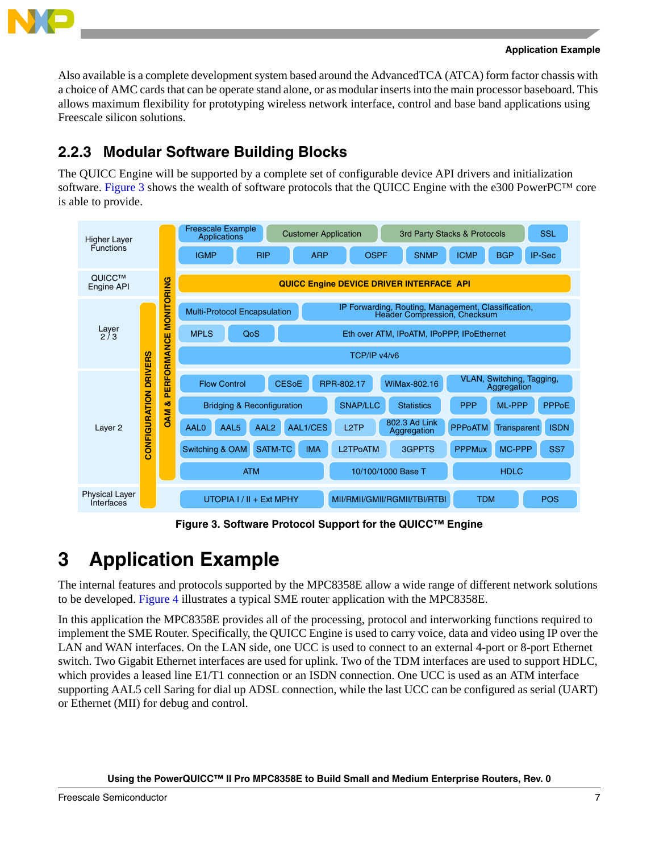

Also available is a complete development system based around the AdvancedTCA (ATCA) form factor chassis with a choice of AMC cards that can be operate stand alone, or as modular inserts into the main processor baseboard. This allows maximum flexibility for prototyping wireless network interface, control and base band applications using Freescale silicon solutions.

# **2.2.3 Modular Software Building Blocks**

The QUICC Engine will be supported by a complete set of configurable device API drivers and initialization software. [Figure 3](#page-6-1) shows the wealth of software protocols that the QUICC Engine with the e300 PowerPC™ core is able to provide.



**Figure 3. Software Protocol Support for the QUICC™ Engine**

# <span id="page-6-1"></span><span id="page-6-0"></span>**3 Application Example**

The internal features and protocols supported by the MPC8358E allow a wide range of different network solutions to be developed. [Figure 4](#page-7-0) illustrates a typical SME router application with the MPC8358E.

In this application the MPC8358E provides all of the processing, protocol and interworking functions required to implement the SME Router. Specifically, the QUICC Engine is used to carry voice, data and video using IP over the LAN and WAN interfaces. On the LAN side, one UCC is used to connect to an external 4-port or 8-port Ethernet switch. Two Gigabit Ethernet interfaces are used for uplink. Two of the TDM interfaces are used to support HDLC, which provides a leased line E1/T1 connection or an ISDN connection. One UCC is used as an ATM interface supporting AAL5 cell Saring for dial up ADSL connection, while the last UCC can be configured as serial (UART) or Ethernet (MII) for debug and control.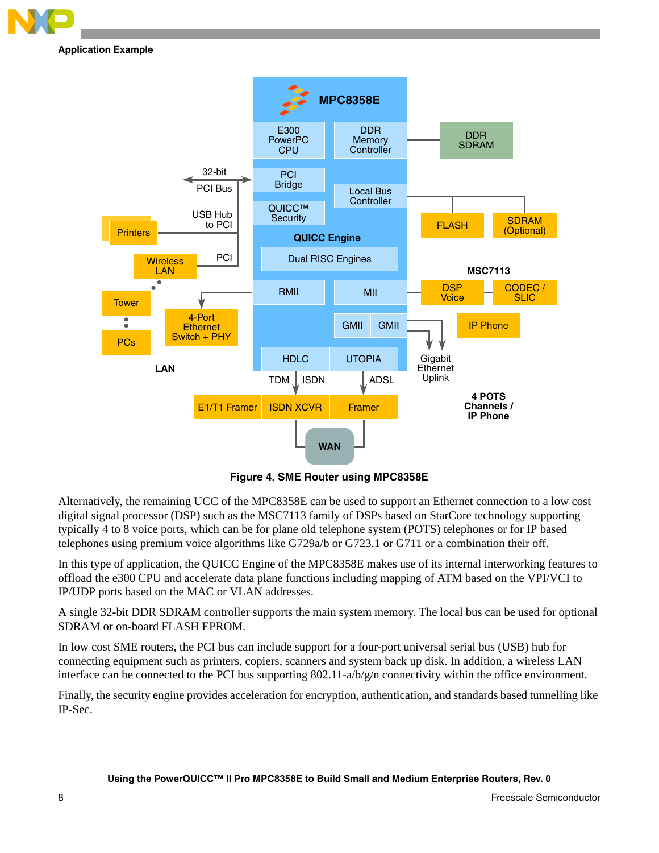

#### **Application Example**



**Figure 4. SME Router using MPC8358E**

<span id="page-7-0"></span>Alternatively, the remaining UCC of the MPC8358E can be used to support an Ethernet connection to a low cost digital signal processor (DSP) such as the MSC7113 family of DSPs based on StarCore technology supporting typically 4 to 8 voice ports, which can be for plane old telephone system (POTS) telephones or for IP based telephones using premium voice algorithms like G729a/b or G723.1 or G711 or a combination their off.

In this type of application, the QUICC Engine of the MPC8358E makes use of its internal interworking features to offload the e300 CPU and accelerate data plane functions including mapping of ATM based on the VPI/VCI to IP/UDP ports based on the MAC or VLAN addresses.

A single 32-bit DDR SDRAM controller supports the main system memory. The local bus can be used for optional SDRAM or on-board FLASH EPROM.

In low cost SME routers, the PCI bus can include support for a four-port universal serial bus (USB) hub for connecting equipment such as printers, copiers, scanners and system back up disk. In addition, a wireless LAN interface can be connected to the PCI bus supporting 802.11-a/b/g/n connectivity within the office environment.

Finally, the security engine provides acceleration for encryption, authentication, and standards based tunnelling like IP-Sec.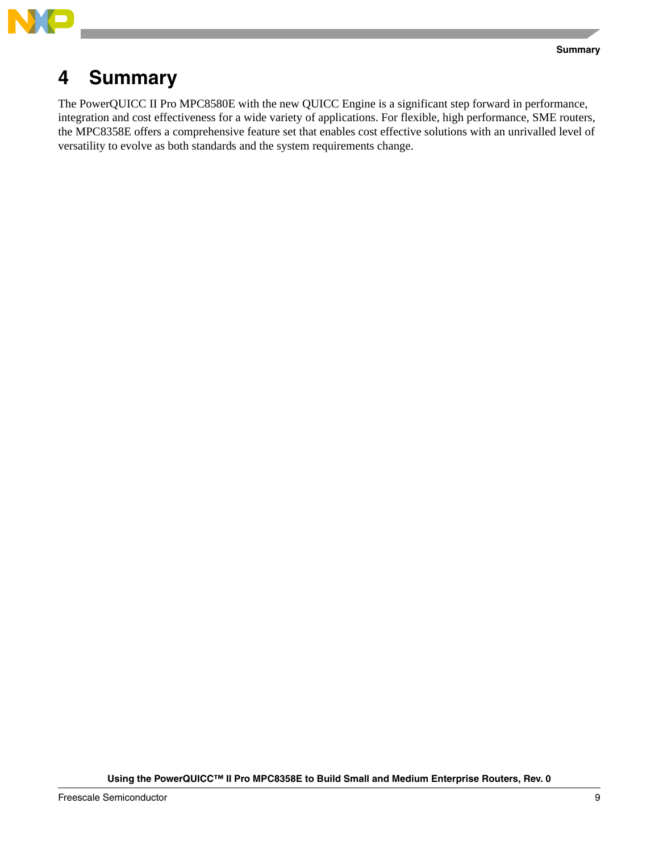

# <span id="page-8-0"></span>**4 Summary**

The PowerQUICC II Pro MPC8580E with the new QUICC Engine is a significant step forward in performance, integration and cost effectiveness for a wide variety of applications. For flexible, high performance, SME routers, the MPC8358E offers a comprehensive feature set that enables cost effective solutions with an unrivalled level of versatility to evolve as both standards and the system requirements change.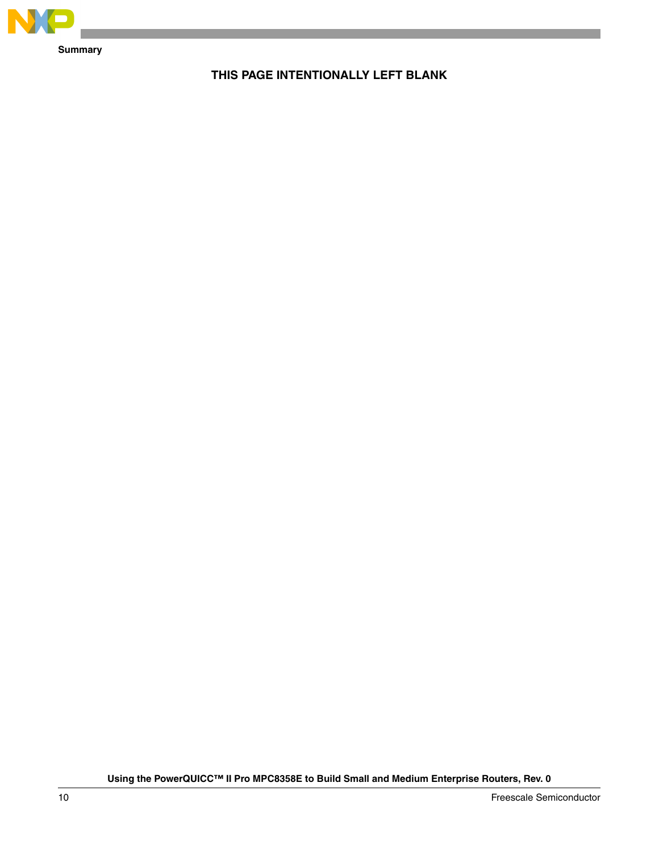

**Summary**

### **THIS PAGE INTENTIONALLY LEFT BLANK**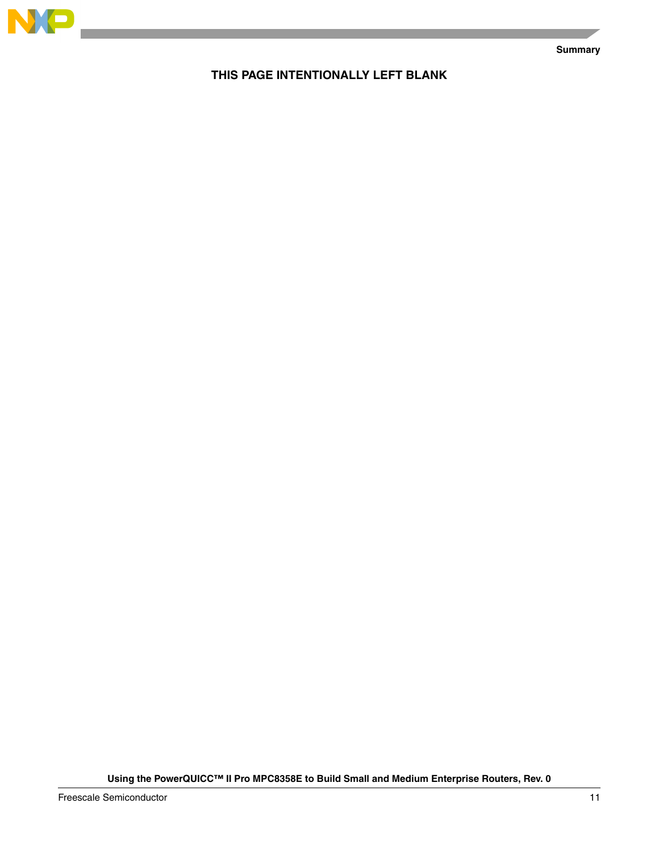

### **THIS PAGE INTENTIONALLY LEFT BLANK**